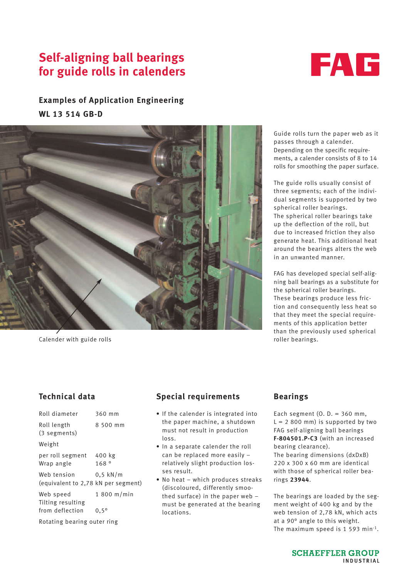# **Self-aligning ball bearings for guide rolls in calenders**



## **Examples of Application Engineering WL 13 514 GB-D**



Calender with guide rolls

Guide rolls turn the paper web as it passes through a calender. Depending on the specific requirements, a calender consists of 8 to 14 rolls for smoothing the paper surface.

The guide rolls usually consist of three segments; each of the individual segments is supported by two spherical roller bearings. The spherical roller bearings take up the deflection of the roll, but due to increased friction they also generate heat. This additional heat around the bearings alters the web in an unwanted manner.

FAG has developed special self-aligning ball bearings as a substitute for the spherical roller bearings. These bearings produce less friction and consequently less heat so that they meet the special requirements of this application better than the previously used spherical roller bearings.

## **Technical data**

| Roll diameter                                      | 360 mm         |
|----------------------------------------------------|----------------|
| Roll length<br>(3 segments)                        | 8 500 mm       |
| Weight                                             |                |
| per roll segment<br>Wrap angle                     | 400 kg<br>168° |
| Web tension<br>(equivalent to 2,78 kN per segment) | $0.5$ kN/m     |
| Web speed<br>Tilting resulting                     | $1800$ m/min   |
| from deflection                                    | $0,5^{\circ}$  |
| Rotating bearing outer ring                        |                |

### **Special requirements**

- If the calender is integrated into the paper machine, a shutdown must not result in production loss.
- In a separate calender the roll can be replaced more easily – relatively slight production losses result.
- No heat which produces streaks (discoloured, differently smoothed surface) in the paper web – must be generated at the bearing locations.

### **Bearings**

Each segment  $(0. D. = 360$  mm,  $L = 2800$  mm) is supported by two FAG self-aligning ball bearings **F-804501.P-C3** (with an increased bearing clearance).

The bearing dimensions (dxDxB) 220 x 300 x 60 mm are identical with those of spherical roller bearings **23944**.

The bearings are loaded by the segment weight of 400 kg and by the web tension of 2,78 kN, which acts at a 90° angle to this weight. The maximum speed is 1 593 min-1.

> **SCHAEFFLER GROUP** INDUSTRIAL